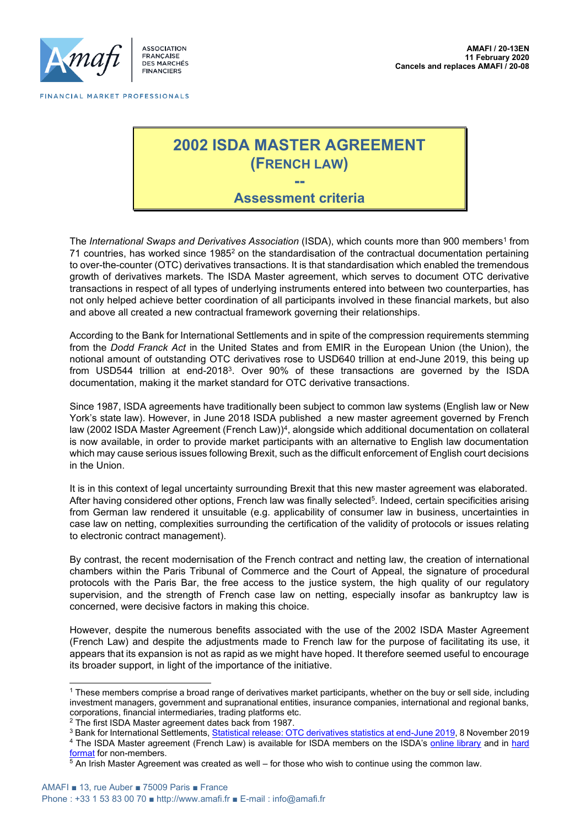

ASSOCIATION **FRANCAISE** FRANÇAISE<br>DES MARCHÉS **FINANCIERS** 

# **2002 ISDA MASTER AGREEMENT (FRENCH LAW) --**

# **Assessment criteria**

The *International Swaps and Derivatives Association* (ISDA), which counts more than 900 members<sup>1</sup> from 71 countries, has worked since 1985<sup>2</sup> on the standardisation of the contractual documentation pertaining to over-the-counter (OTC) derivatives transactions. It is that standardisation which enabled the tremendous growth of derivatives markets. The ISDA Master agreement, which serves to document OTC derivative transactions in respect of all types of underlying instruments entered into between two counterparties, has not only helped achieve better coordination of all participants involved in these financial markets, but also and above all created a new contractual framework governing their relationships.

According to the Bank for International Settlements and in spite of the compression requirements stemming from the *Dodd Franck Act* in the United States and from EMIR in the European Union (the Union), the notional amount of outstanding OTC derivatives rose to USD640 trillion at end-June 2019, this being up from USD544 trillion at end-2018<sup>3</sup> . Over 90% of these transactions are governed by the ISDA documentation, making it the market standard for OTC derivative transactions.

Since 1987, ISDA agreements have traditionally been subject to common law systems (English law or New York's state law). However, in June 2018 ISDA published a new master agreement governed by French law (2002 ISDA Master Agreement (French Law))<sup>4</sup>, alongside which additional documentation on collateral is now available, in order to provide market participants with an alternative to English law documentation which may cause serious issues following Brexit, such as the difficult enforcement of English court decisions in the Union.

It is in this context of legal uncertainty surrounding Brexit that this new master agreement was elaborated. After having considered other options, French law was finally selected<sup>5</sup>. Indeed, certain specificities arising from German law rendered it unsuitable (e.g. applicability of consumer law in business, uncertainties in case law on netting, complexities surrounding the certification of the validity of protocols or issues relating to electronic contract management).

By contrast, the recent modernisation of the French contract and netting law, the creation of international chambers within the Paris Tribunal of Commerce and the Court of Appeal, the signature of procedural protocols with the Paris Bar, the free access to the justice system, the high quality of our regulatory supervision, and the strength of French case law on netting, especially insofar as bankruptcy law is concerned, were decisive factors in making this choice.

However, despite the numerous benefits associated with the use of the 2002 ISDA Master Agreement (French Law) and despite the adjustments made to French law for the purpose of facilitating its use, it appears that its expansion is not as rapid as we might have hoped. It therefore seemed useful to encourage its broader support, in light of the importance of the initiative.

<sup>1</sup> These members comprise a broad range of derivatives market participants, whether on the buy or sell side*,* including investment managers, government and supranational entities, insurance companies, international and regional banks, corporations, financial intermediaries, trading platforms etc.

<sup>2</sup> The first ISDA Master agreement dates back from 1987.

<sup>3</sup> Bank for International Settlements[, Statistical release: OTC derivatives statistics at end-June 2019,](https://www.bis.org/publ/otc_hy1911.htm) 8 November 2019 <sup>4</sup> The ISDA Master agreement (French Law) is available for ISDA members on the ISDA's [online library](https://www.isda.org/book/2002-isda-master-agreement-french-law-english/library/) and in [hard](https://www.isda.org/book/2002-isda-master-agreement-french-law-english/library/)  [format](https://www.isda.org/book/2002-isda-master-agreement-french-law-english/library/) for non-members.

 $5$  An Irish Master Agreement was created as well – for those who wish to continue using the common law.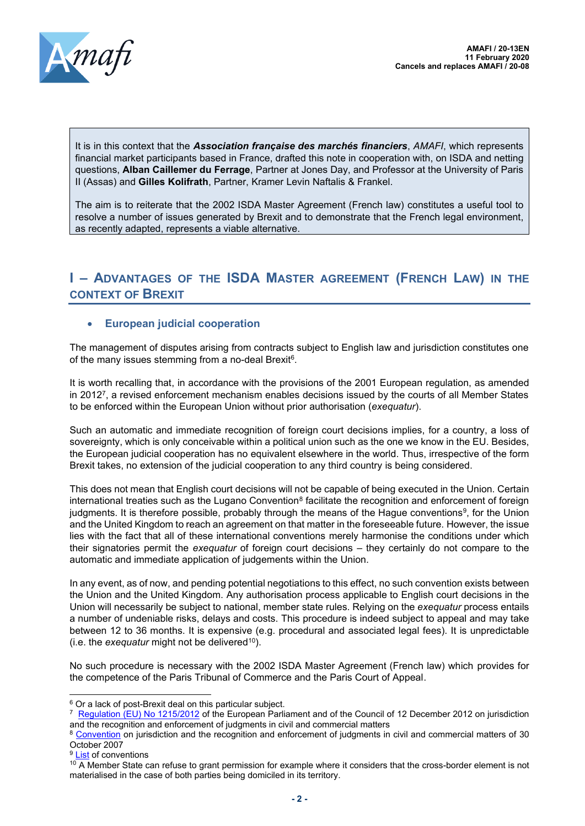

It is in this context that the *Association française des marchés financiers*, *AMAFI*, which represents financial market participants based in France, drafted this note in cooperation with, on ISDA and netting questions, **Alban Caillemer du Ferrage**, Partner at Jones Day, and Professor at the University of Paris II (Assas) and **Gilles Kolifrath**, Partner, Kramer Levin Naftalis & Frankel.

The aim is to reiterate that the 2002 ISDA Master Agreement (French law) constitutes a useful tool to resolve a number of issues generated by Brexit and to demonstrate that the French legal environment, as recently adapted, represents a viable alternative.

# **I – ADVANTAGES OF THE ISDA MASTER AGREEMENT (FRENCH LAW) IN THE CONTEXT OF BREXIT**

## • **European judicial cooperation**

The management of disputes arising from contracts subject to English law and jurisdiction constitutes one of the many issues stemming from a no-deal Brexit<sup>6</sup>.

It is worth recalling that, in accordance with the provisions of the 2001 European regulation, as amended in 2012<sup>7</sup> , a revised enforcement mechanism enables decisions issued by the courts of all Member States to be enforced within the European Union without prior authorisation (*exequatur*).

Such an automatic and immediate recognition of foreign court decisions implies, for a country, a loss of sovereignty, which is only conceivable within a political union such as the one we know in the EU. Besides, the European judicial cooperation has no equivalent elsewhere in the world. Thus, irrespective of the form Brexit takes, no extension of the judicial cooperation to any third country is being considered.

This does not mean that English court decisions will not be capable of being executed in the Union. Certain international treaties such as the Lugano Convention ${}^{8}$  facilitate the recognition and enforcement of foreign judgments. It is therefore possible, probably through the means of the Hague conventions<sup>9</sup>, for the Union and the United Kingdom to reach an agreement on that matter in the foreseeable future. However, the issue lies with the fact that all of these international conventions merely harmonise the conditions under which their signatories permit the *exequatur* of foreign court decisions – they certainly do not compare to the automatic and immediate application of judgements within the Union.

In any event, as of now, and pending potential negotiations to this effect, no such convention exists between the Union and the United Kingdom. Any authorisation process applicable to English court decisions in the Union will necessarily be subject to national, member state rules. Relying on the *exequatur* process entails a number of undeniable risks, delays and costs. This procedure is indeed subject to appeal and may take between 12 to 36 months. It is expensive (e.g. procedural and associated legal fees). It is unpredictable (i.e. the *exequatur* might not be delivered<sup>10</sup>).

No such procedure is necessary with the 2002 ISDA Master Agreement (French law) which provides for the competence of the Paris Tribunal of Commerce and the Paris Court of Appeal.

<sup>&</sup>lt;sup>6</sup> Or a lack of post-Brexit deal on this particular subject.

<sup>&</sup>lt;sup>7</sup> [Regulation \(EU\) No 1215/2012](https://eur-lex.europa.eu/legal-content/EN/TXT/PDF/?uri=CELEX:32012R1215&from=fr) of the European Parliament and of the Council of 12 December 2012 on jurisdiction and the recognition and enforcement of judgments in civil and commercial matters

<sup>8</sup> [Convention](https://eur-lex.europa.eu/legal-content/FR/ALL/?uri=CELEX%3A22007A1221%2803%29) on jurisdiction and the recognition and enforcement of judgments in civil and commercial matters of 30 October 2007

<sup>&</sup>lt;sup>9</sup> [List](about:blank) of conventions

 $10$  A Member State can refuse to grant permission for example where it considers that the cross-border element is not materialised in the case of both parties being domiciled in its territory.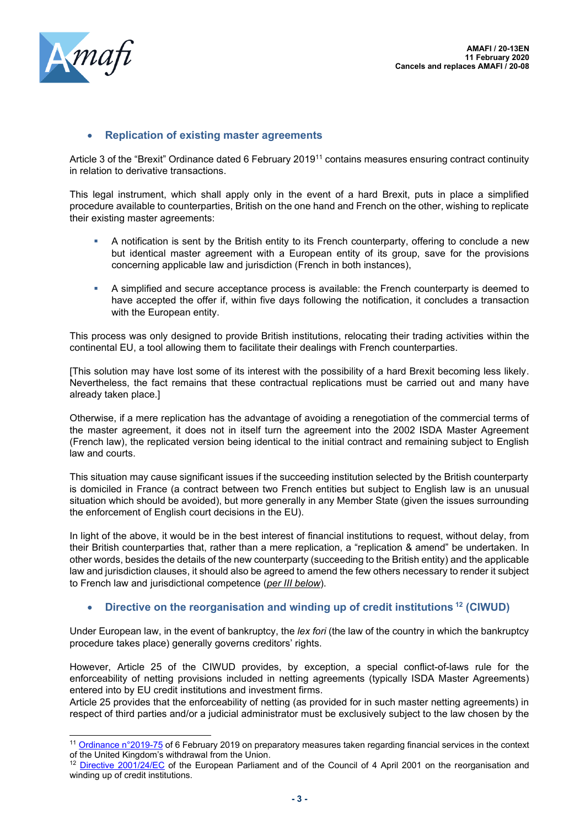

## • **Replication of existing master agreements**

Article 3 of the "Brexit" Ordinance dated 6 February 2019<sup>11</sup> contains measures ensuring contract continuity in relation to derivative transactions.

This legal instrument, which shall apply only in the event of a hard Brexit, puts in place a simplified procedure available to counterparties, British on the one hand and French on the other, wishing to replicate their existing master agreements:

- A notification is sent by the British entity to its French counterparty, offering to conclude a new but identical master agreement with a European entity of its group, save for the provisions concerning applicable law and jurisdiction (French in both instances),
- A simplified and secure acceptance process is available: the French counterparty is deemed to have accepted the offer if, within five days following the notification, it concludes a transaction with the European entity.

This process was only designed to provide British institutions, relocating their trading activities within the continental EU, a tool allowing them to facilitate their dealings with French counterparties.

[This solution may have lost some of its interest with the possibility of a hard Brexit becoming less likely. Nevertheless, the fact remains that these contractual replications must be carried out and many have already taken place.]

Otherwise, if a mere replication has the advantage of avoiding a renegotiation of the commercial terms of the master agreement, it does not in itself turn the agreement into the 2002 ISDA Master Agreement (French law), the replicated version being identical to the initial contract and remaining subject to English law and courts.

This situation may cause significant issues if the succeeding institution selected by the British counterparty is domiciled in France (a contract between two French entities but subject to English law is an unusual situation which should be avoided), but more generally in any Member State (given the issues surrounding the enforcement of English court decisions in the EU).

In light of the above, it would be in the best interest of financial institutions to request, without delay, from their British counterparties that, rather than a mere replication, a "replication & amend" be undertaken. In other words, besides the details of the new counterparty (succeeding to the British entity) and the applicable law and jurisdiction clauses, it should also be agreed to amend the few others necessary to render it subject to French law and jurisdictional competence (*per III below*).

#### • **Directive on the reorganisation and winding up of credit institutions <sup>12</sup> (CIWUD)**

Under European law, in the event of bankruptcy, the *lex fori* (the law of the country in which the bankruptcy procedure takes place) generally governs creditors' rights.

However, Article 25 of the CIWUD provides, by exception, a special conflict-of-laws rule for the enforceability of netting provisions included in netting agreements (typically ISDA Master Agreements) entered into by EU credit institutions and investment firms.

Article 25 provides that the enforceability of netting (as provided for in such master netting agreements) in respect of third parties and/or a judicial administrator must be exclusively subject to the law chosen by the

<sup>&</sup>lt;sup>11</sup> [Ordinance n°2019-75](https://www.legifrance.gouv.fr/affichTexte.do?cidTexte=JORFTEXT000038100584&categorieLien=id) of 6 February 2019 on preparatory measures taken regarding financial services in the context of the United Kingdom's withdrawal from the Union.

<sup>&</sup>lt;sup>12</sup> [Directive 2001/24/EC](about:blank) of the European Parliament and of the Council of 4 April 2001 on the reorganisation and winding up of credit institutions.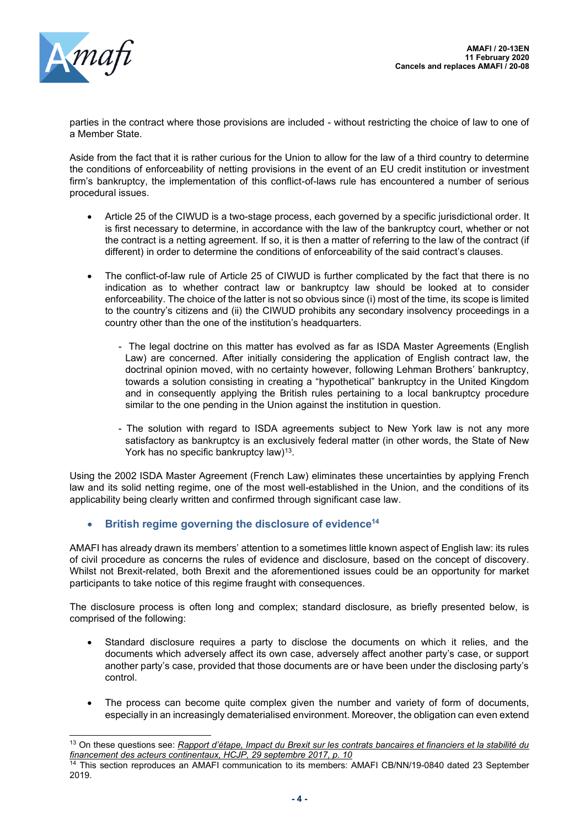

parties in the contract where those provisions are included - without restricting the choice of law to one of a Member State.

Aside from the fact that it is rather curious for the Union to allow for the law of a third country to determine the conditions of enforceability of netting provisions in the event of an EU credit institution or investment firm's bankruptcy, the implementation of this conflict-of-laws rule has encountered a number of serious procedural issues.

- Article 25 of the CIWUD is a two-stage process, each governed by a specific jurisdictional order. It is first necessary to determine, in accordance with the law of the bankruptcy court, whether or not the contract is a netting agreement. If so, it is then a matter of referring to the law of the contract (if different) in order to determine the conditions of enforceability of the said contract's clauses.
- The conflict-of-law rule of Article 25 of CIWUD is further complicated by the fact that there is no indication as to whether contract law or bankruptcy law should be looked at to consider enforceability. The choice of the latter is not so obvious since (i) most of the time, its scope is limited to the country's citizens and (ii) the CIWUD prohibits any secondary insolvency proceedings in a country other than the one of the institution's headquarters.
	- The legal doctrine on this matter has evolved as far as ISDA Master Agreements (English Law) are concerned. After initially considering the application of English contract law, the doctrinal opinion moved, with no certainty however, following Lehman Brothers' bankruptcy, towards a solution consisting in creating a "hypothetical" bankruptcy in the United Kingdom and in consequently applying the British rules pertaining to a local bankruptcy procedure similar to the one pending in the Union against the institution in question.
	- The solution with regard to ISDA agreements subject to New York law is not any more satisfactory as bankruptcy is an exclusively federal matter (in other words, the State of New York has no specific bankruptcy law)<sup>13</sup>.

Using the 2002 ISDA Master Agreement (French Law) eliminates these uncertainties by applying French law and its solid netting regime, one of the most well-established in the Union, and the conditions of its applicability being clearly written and confirmed through significant case law.

• **British regime governing the disclosure of evidence<sup>14</sup>**

AMAFI has already drawn its members' attention to a sometimes little known aspect of English law: its rules of civil procedure as concerns the rules of evidence and disclosure, based on the concept of discovery. Whilst not Brexit-related, both Brexit and the aforementioned issues could be an opportunity for market participants to take notice of this regime fraught with consequences.

The disclosure process is often long and complex; standard disclosure, as briefly presented below, is comprised of the following:

- Standard disclosure requires a party to disclose the documents on which it relies, and the documents which adversely affect its own case, adversely affect another party's case, or support another party's case, provided that those documents are or have been under the disclosing party's control.
- The process can become quite complex given the number and variety of form of documents, especially in an increasingly dematerialised environment. Moreover, the obligation can even extend

<sup>13</sup> On these questions see: *Rapport d'étape, Impact du Brexit sur les contrats bancaires et financiers et la stabilité du financement des acteurs continentaux, HCJP, 29 septembre 2017, p. 10*

<sup>&</sup>lt;sup>14</sup> This section reproduces an AMAFI communication to its members: AMAFI CB/NN/19-0840 dated 23 September 2019.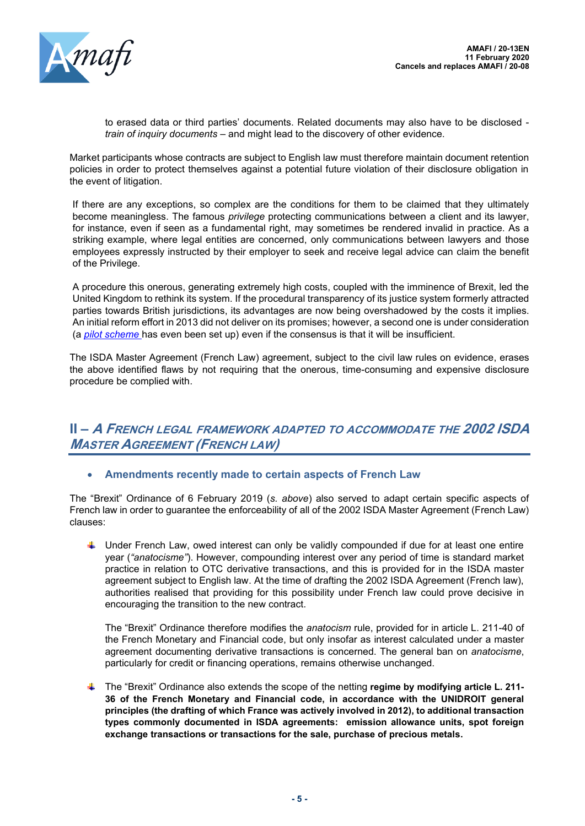

to erased data or third parties' documents. Related documents may also have to be disclosed *train of inquiry documents* – and might lead to the discovery of other evidence.

Market participants whose contracts are subject to English law must therefore maintain document retention policies in order to protect themselves against a potential future violation of their disclosure obligation in the event of litigation.

If there are any exceptions, so complex are the conditions for them to be claimed that they ultimately become meaningless. The famous *privilege* protecting communications between a client and its lawyer, for instance, even if seen as a fundamental right, may sometimes be rendered invalid in practice. As a striking example, where legal entities are concerned, only communications between lawyers and those employees expressly instructed by their employer to seek and receive legal advice can claim the benefit of the Privilege.

A procedure this onerous, generating extremely high costs, coupled with the imminence of Brexit, led the United Kingdom to rethink its system. If the procedural transparency of its justice system formerly attracted parties towards British jurisdictions, its advantages are now being overshadowed by the costs it implies. An initial reform effort in 2013 did not deliver on its promises; however, a second one is under consideration (a *pilot scheme* has even been set up) even if the consensus is that it will be insufficient.

The ISDA Master Agreement (French Law) agreement, subject to the civil law rules on evidence, erases the above identified flaws by not requiring that the onerous, time-consuming and expensive disclosure procedure be complied with.

# **II – A FRENCH LEGAL FRAMEWORK ADAPTED TO ACCOMMODATE THE 2002 ISDA MASTER AGREEMENT (FRENCH LAW)**

# • **Amendments recently made to certain aspects of French Law**

The "Brexit" Ordinance of 6 February 2019 (*s. above*) also served to adapt certain specific aspects of French law in order to guarantee the enforceability of all of the 2002 ISDA Master Agreement (French Law) clauses:

 $\ddot{\phantom{1}}$  Under French Law, owed interest can only be validly compounded if due for at least one entire year (*"anatocisme"*). However, compounding interest over any period of time is standard market practice in relation to OTC derivative transactions, and this is provided for in the ISDA master agreement subject to English law. At the time of drafting the 2002 ISDA Agreement (French law), authorities realised that providing for this possibility under French law could prove decisive in encouraging the transition to the new contract.

The "Brexit" Ordinance therefore modifies the *anatocism* rule, provided for in article L. 211-40 of the French Monetary and Financial code, but only insofar as interest calculated under a master agreement documenting derivative transactions is concerned. The general ban on *anatocisme*, particularly for credit or financing operations, remains otherwise unchanged.

The "Brexit" Ordinance also extends the scope of the netting **regime by modifying article L. 211- 36 of the French Monetary and Financial code, in accordance with the UNIDROIT general principles (the drafting of which France was actively involved in 2012), to additional transaction types commonly documented in ISDA agreements: emission allowance units, spot foreign exchange transactions or transactions for the sale, purchase of precious metals.**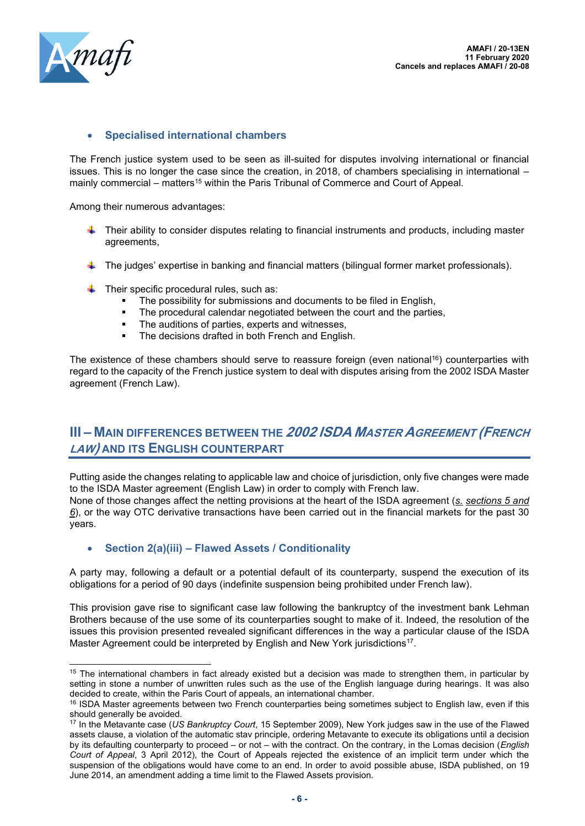

## • **Specialised international chambers**

The French justice system used to be seen as ill-suited for disputes involving international or financial issues. This is no longer the case since the creation, in 2018, of chambers specialising in international – mainly commercial – matters<sup>15</sup> within the Paris Tribunal of Commerce and Court of Appeal.

Among their numerous advantages:

- Their ability to consider disputes relating to financial instruments and products, including master agreements,
- The judges' expertise in banking and financial matters (bilingual former market professionals).
- $\downarrow$  Their specific procedural rules, such as:
	- The possibility for submissions and documents to be filed in English,
	- The procedural calendar negotiated between the court and the parties,
	- The auditions of parties, experts and witnesses,
	- The decisions drafted in both French and English.

The existence of these chambers should serve to reassure foreign (even national<sup>16</sup>) counterparties with regard to the capacity of the French justice system to deal with disputes arising from the 2002 ISDA Master agreement (French Law).

# **III – MAIN DIFFERENCES BETWEEN THE 2002 ISDA MASTER AGREEMENT (FRENCH LAW) AND ITS ENGLISH COUNTERPART**

Putting aside the changes relating to applicable law and choice of jurisdiction, only five changes were made to the ISDA Master agreement (English Law) in order to comply with French law.

None of those changes affect the netting provisions at the heart of the ISDA agreement (*s. sections 5 and 6*), or the way OTC derivative transactions have been carried out in the financial markets for the past 30 years.

• **Section 2(a)(iii) – Flawed Assets / Conditionality**

A party may, following a default or a potential default of its counterparty, suspend the execution of its obligations for a period of 90 days (indefinite suspension being prohibited under French law).

This provision gave rise to significant case law following the bankruptcy of the investment bank Lehman Brothers because of the use some of its counterparties sought to make of it. Indeed, the resolution of the issues this provision presented revealed significant differences in the way a particular clause of the ISDA Master Agreement could be interpreted by English and New York jurisdictions<sup>17</sup>.

<sup>&</sup>lt;sup>15</sup> The international chambers in fact already existed but a decision was made to strengthen them, in particular by setting in stone a number of unwritten rules such as the use of the English language during hearings. It was also decided to create, within the Paris Court of appeals, an international chamber.

<sup>&</sup>lt;sup>16</sup> ISDA Master agreements between two French counterparties being sometimes subject to English law, even if this should generally be avoided.

<sup>17</sup> In the Metavante case (*US Bankruptcy Court*, 15 September 2009), New York judges saw in the use of the Flawed assets clause, a violation of the automatic stav principle, ordering Metavante to execute its obligations until a decision by its defaulting counterparty to proceed – or not – with the contract. On the contrary, in the Lomas decision (*English Court of Appeal*, 3 April 2012), the Court of Appeals rejected the existence of an implicit term under which the suspension of the obligations would have come to an end. In order to avoid possible abuse, ISDA published, on 19 June 2014, an amendment adding a time limit to the Flawed Assets provision.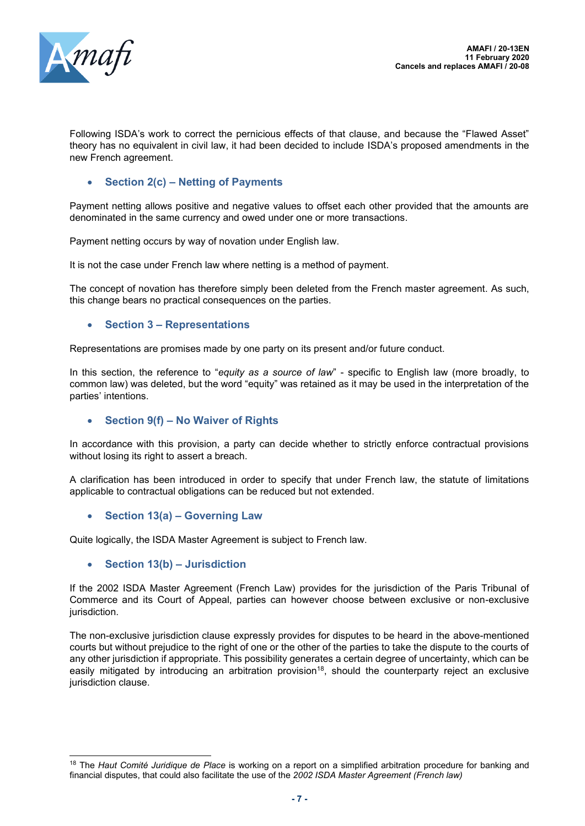

Following ISDA's work to correct the pernicious effects of that clause, and because the "Flawed Asset" theory has no equivalent in civil law, it had been decided to include ISDA's proposed amendments in the new French agreement.

# • **Section 2(c) – Netting of Payments**

Payment netting allows positive and negative values to offset each other provided that the amounts are denominated in the same currency and owed under one or more transactions.

Payment netting occurs by way of novation under English law.

It is not the case under French law where netting is a method of payment.

The concept of novation has therefore simply been deleted from the French master agreement. As such, this change bears no practical consequences on the parties.

#### • **Section 3 – Representations**

Representations are promises made by one party on its present and/or future conduct.

In this section, the reference to "*equity as a source of law*" - specific to English law (more broadly, to common law) was deleted, but the word "equity" was retained as it may be used in the interpretation of the parties' intentions.

#### • **Section 9(f) – No Waiver of Rights**

In accordance with this provision, a party can decide whether to strictly enforce contractual provisions without losing its right to assert a breach.

A clarification has been introduced in order to specify that under French law, the statute of limitations applicable to contractual obligations can be reduced but not extended.

• **Section 13(a) – Governing Law**

Quite logically, the ISDA Master Agreement is subject to French law.

• **Section 13(b) – Jurisdiction**

If the 2002 ISDA Master Agreement (French Law) provides for the jurisdiction of the Paris Tribunal of Commerce and its Court of Appeal, parties can however choose between exclusive or non-exclusive jurisdiction.

The non-exclusive jurisdiction clause expressly provides for disputes to be heard in the above-mentioned courts but without prejudice to the right of one or the other of the parties to take the dispute to the courts of any other jurisdiction if appropriate. This possibility generates a certain degree of uncertainty, which can be easily mitigated by introducing an arbitration provision<sup>18</sup>, should the counterparty reject an exclusive jurisdiction clause.

<sup>18</sup> The *Haut Comité Juridique de Place* is working on a report on a simplified arbitration procedure for banking and financial disputes, that could also facilitate the use of the *2002 ISDA Master Agreement (French law)*